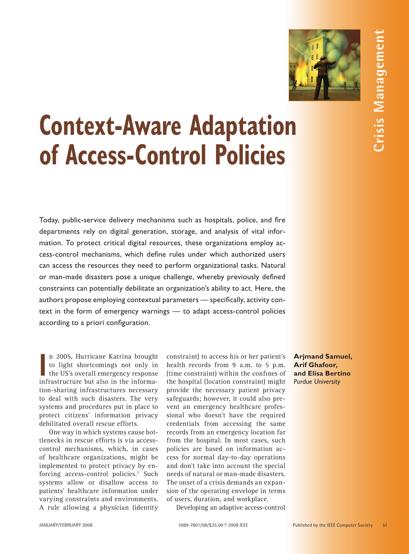

# **Context-Aware Adaptation of Access-Control Policies**

Today, public-service delivery mechanisms such as hospitals, police, and fire departments rely on digital generation, storage, and analysis of vital information. To protect critical digital resources, these organizations employ access-control mechanisms, which define rules under which authorized users can access the resources they need to perform organizational tasks. Natural or man-made disasters pose a unique challenge, whereby previously defined constraints can potentially debilitate an organization's ability to act. Here, the authors propose employing contextual parameters — specifically, activity context in the form of emergency warnings — to adapt access-control policies according to a priori configuration.

In 2005, Hurricane Katrina brought<br>to light shortcomings not only in<br>the US's overall emergency response<br>infrastructure but also in the informan 2005, Hurricane Katrina brought to light shortcomings not only in the US's overall emergency response tion-sharing infrastructures necessary to deal with such disasters. The very systems and procedures put in place to protect citizens' information privacy debilitated overall rescue efforts.

One way in which systems cause bottlenecks in rescue efforts is via accesscontrol mechanisms, which, in cases of healthcare organizations, might be implemented to protect privacy by enforcing access-control policies. $<sup>1</sup>$  Such</sup> systems allow or disallow access to patients' healthcare information under varying constraints and environments. A rule allowing a physician (identity

constraint) to access his or her patient's health records from 9 a.m. to 5 p.m. (time constraint) within the confines of the hospital (location constraint) might provide the necessary patient privacy safeguards; however, it could also prevent an emergency healthcare professional who doesn't have the required credentials from accessing the same records from an emergency location far from the hospital. In most cases, such policies are based on information access for normal day-to-day operations and don't take into account the special needs of natural or man-made disasters. The onset of a crisis demands an expansion of the operating envelope in terms of users, duration, and workplace.

**Arif Ghafoor, and Elisa Bertino** *Purdue University*

**Arjmand Samuel,** 

Developing an adaptive access-control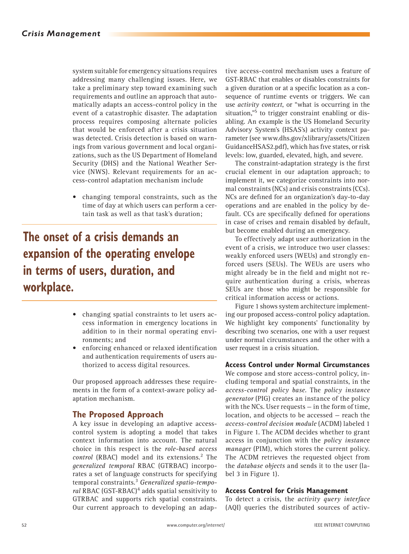system suitable for emergency situations requires addressing many challenging issues. Here, we take a preliminary step toward examining such requirements and outline an approach that automatically adapts an access-control policy in the event of a catastrophic disaster. The adaptation process requires composing alternate policies that would be enforced after a crisis situation was detected. Crisis detection is based on warnings from various government and local organizations, such as the US Department of Homeland Security (DHS) and the National Weather Service (NWS). Relevant requirements for an access-control adaptation mechanism include

changing temporal constraints, such as the time of day at which users can perform a certain task as well as that task's duration; •

# **The onset of a crisis demands an expansion of the operating envelope in terms of users, duration, and workplace.**

- changing spatial constraints to let users access information in emergency locations in addition to in their normal operating environments; and
- enforcing enhanced or relaxed identification and authentication requirements of users authorized to access digital resources. •

Our proposed approach addresses these requirements in the form of a context-aware policy adaptation mechanism.

# **The Proposed Approach**

A key issue in developing an adaptive accesscontrol system is adopting a model that takes context information into account. The natural choice in this respect is the *role-based access control* (RBAC) model and its extensions.2 The *generalized temporal* RBAC (GTRBAC) incorporates a set of language constructs for specifying temporal constraints.<sup>3</sup> *Generalized spatio-tempo*ral RBAC (GST-RBAC)<sup>4</sup> adds spatial sensitivity to GTRBAC and supports rich spatial constraints. Our current approach to developing an adaptive access-control mechanism uses a feature of GST-RBAC that enables or disables constraints for a given duration or at a specific location as a consequence of runtime events or triggers. We can use *activity context*, or "what is occurring in the situation,"<sup>5</sup> to trigger constraint enabling or disabling. An example is the US Homeland Security Advisory System's (HSAS's) activity context parameter (see www.dhs.gov/xlibrary/assets/Citizen GuidanceHSAS2.pdf), which has five states, or risk levels: low, guarded, elevated, high, and severe.

The constraint-adaptation strategy is the first crucial element in our adaptation approach; to implement it, we categorize constraints into normal constraints (NCs) and crisis constraints (CCs). NCs are defined for an organization's day-to-day operations and are enabled in the policy by default. CCs are specifically defined for operations in case of crises and remain disabled by default, but become enabled during an emergency.

To effectively adapt user authorization in the event of a crisis, we introduce two user classes: weakly enforced users (WEUs) and strongly enforced users (SEUs). The WEUs are users who might already be in the field and might not require authentication during a crisis, whereas SEUs are those who might be responsible for critical information access or actions.

Figure 1 shows system architecture implementing our proposed access-control policy adaptation. We highlight key components' functionality by describing two scenarios, one with a user request under normal circumstances and the other with a user request in a crisis situation.

### **Access Control under Normal Circumstances**

We compose and store access-control policy, including temporal and spatial constraints, in the *access-control policy base*. The *policy instance generator* (PIG) creates an instance of the policy with the NCs. User requests — in the form of time, location, and objects to be accessed — reach the *access-control decision module* (ACDM) labeled 1 in Figure 1. The ACDM decides whether to grant access in conjunction with the *polic*y *instanc*e *manage*r (PIM), which stores the current policy. The ACDM retrieves the requested object from the *database objects* and sends it to the user (label 3 in Figure 1).

### **Access Control for Crisis Management**

To detect a crisis, the *activity query interface* (AQI) queries the distributed sources of activ-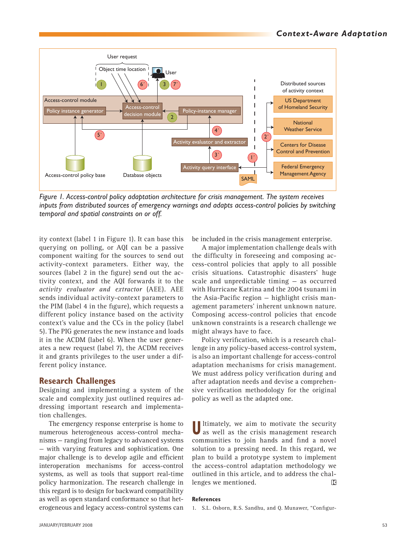

*Figure 1. Access-control policy adaptation architecture for crisis management. The system receives inputs from distributed sources of emergency warnings and adapts access-control policies by switching temporal and spatial constraints on or off.*

ity context (label 1 in Figure 1). It can base this querying on polling, or AQI can be a passive component waiting for the sources to send out activity-context parameters. Either way, the sources (label 2 in the figure) send out the activity context, and the AQI forwards it to the *activity evaluator and extractor* (AEE). AEE sends individual activity-context parameters to the PIM (label 4 in the figure), which requests a different policy instance based on the activity context's value and the CCs in the policy (label 5). The PIG generates the new instance and loads it in the ACDM (label 6). When the user generates a new request (label 7), the ACDM receives it and grants privileges to the user under a different policy instance.

# **Research Challenges**

Designing and implementing a system of the scale and complexity just outlined requires addressing important research and implementation challenges.

The emergency response enterprise is home to numerous heterogeneous access-control mechanisms — ranging from legacy to advanced systems — with varying features and sophistication. One major challenge is to develop agile and efficient interoperation mechanisms for access-control systems, as well as tools that support real-time policy harmonization. The research challenge in this regard is to design for backward compatibility as well as open standard conformance so that heterogeneous and legacy access-control systems can be included in the crisis management enterprise.

A major implementation challenge deals with the difficulty in foreseeing and composing access-control policies that apply to all possible crisis situations. Catastrophic disasters' huge scale and unpredictable timing — as occurred with Hurricane Katrina and the 2004 tsunami in the Asia-Pacific region — highlight crisis management parameters' inherent unknown nature. Composing access-control policies that encode unknown constraints is a research challenge we might always have to face.

Policy verification, which is a research challenge in any policy-based access-control system, is also an important challenge for access-control adaptation mechanisms for crisis management. We must address policy verification during and after adaptation needs and devise a comprehensive verification methodology for the original policy as well as the adapted one.

Itimately, we aim to motivate the security<br>as well as the cut-i as well as the crisis management research communities to join hands and find a novel solution to a pressing need. In this regard, we plan to build a prototype system to implement the access-control adaptation methodology we outlined in this article, and to address the challenges we mentioned.  $\mathbf F$ 

#### **References**

1. S.L. Osborn, R.S. Sandhu, and Q. Munawer, "Configur-